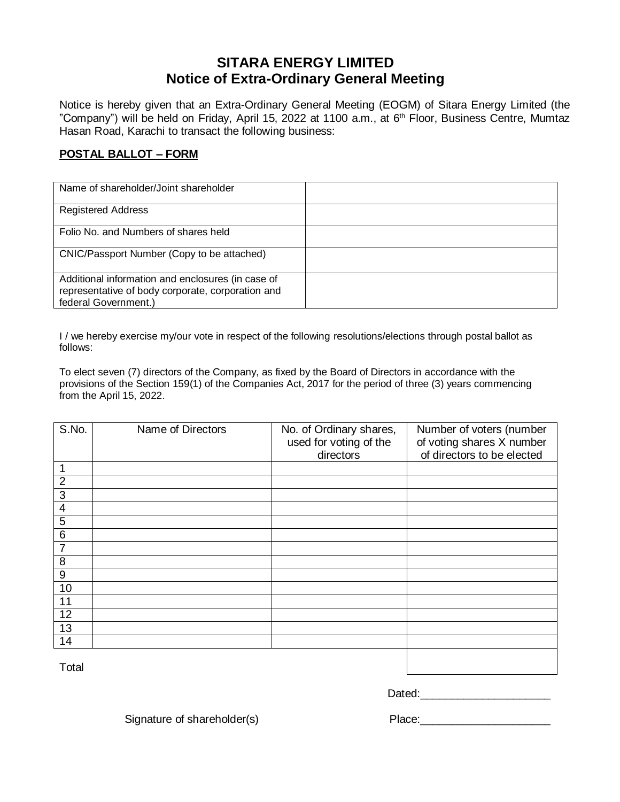## **SITARA ENERGY LIMITED Notice of Extra-Ordinary General Meeting**

Notice is hereby given that an Extra-Ordinary General Meeting (EOGM) of Sitara Energy Limited (the "Company") will be held on Friday, April 15, 2022 at 1100 a.m., at 6<sup>th</sup> Floor, Business Centre, Mumtaz Hasan Road, Karachi to transact the following business:

## **POSTAL BALLOT – FORM**

| Name of shareholder/Joint shareholder                                                                                          |  |
|--------------------------------------------------------------------------------------------------------------------------------|--|
| <b>Registered Address</b>                                                                                                      |  |
| Folio No. and Numbers of shares held                                                                                           |  |
| CNIC/Passport Number (Copy to be attached)                                                                                     |  |
| Additional information and enclosures (in case of<br>representative of body corporate, corporation and<br>federal Government.) |  |

I / we hereby exercise my/our vote in respect of the following resolutions/elections through postal ballot as follows:

To elect seven (7) directors of the Company, as fixed by the Board of Directors in accordance with the provisions of the Section 159(1) of the Companies Act, 2017 for the period of three (3) years commencing from the April 15, 2022.

| S.No.            | Name of Directors | No. of Ordinary shares,<br>used for voting of the<br>directors | Number of voters (number<br>of voting shares X number<br>of directors to be elected |
|------------------|-------------------|----------------------------------------------------------------|-------------------------------------------------------------------------------------|
|                  |                   |                                                                |                                                                                     |
| $\overline{2}$   |                   |                                                                |                                                                                     |
| 3                |                   |                                                                |                                                                                     |
| 4                |                   |                                                                |                                                                                     |
| 5                |                   |                                                                |                                                                                     |
| $\,6$            |                   |                                                                |                                                                                     |
| $\overline{7}$   |                   |                                                                |                                                                                     |
| 8                |                   |                                                                |                                                                                     |
| $\boldsymbol{9}$ |                   |                                                                |                                                                                     |
| 10               |                   |                                                                |                                                                                     |
| 11               |                   |                                                                |                                                                                     |
| 12               |                   |                                                                |                                                                                     |
| 13               |                   |                                                                |                                                                                     |
| 14               |                   |                                                                |                                                                                     |
| Total            |                   |                                                                |                                                                                     |

Dated:\_\_\_\_\_\_\_\_\_\_\_\_\_\_\_\_\_\_\_\_\_

Signature of shareholder(s) example and the Place: